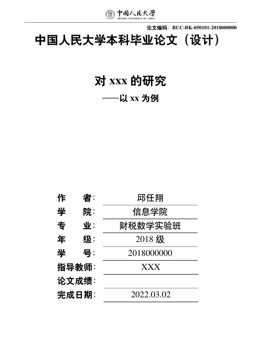

**论文编码:**RUC-BK-050101-2018000000

# **中国人民大学本科毕业论文(设计)**

## **对** xxx **的研究**

**——以** xx **为例**

| 作 | 者:    | 邱任翔        |
|---|-------|------------|
| 学 | 院:    | 信息学院       |
| 专 | 业:    | 财税数学实验班    |
| 年 | 级:    | 2018级      |
| 学 | 号:    | 2018000000 |
|   | 指导教师: | XXX        |
|   | 论文成绩: |            |
|   | 完成日期: | 2022.03.02 |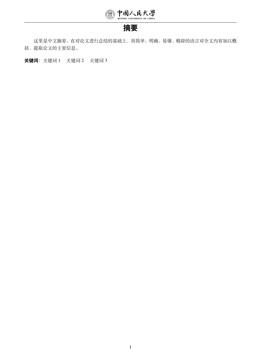

#### **摘要**

这里是中文摘要。在对论文进行总结的基础上,用简单、明确、易懂、精辟的语言对全文内容加以概 括,提取论文的主要信息。

**关键词:**关键词 1 关键词 2 关键词 3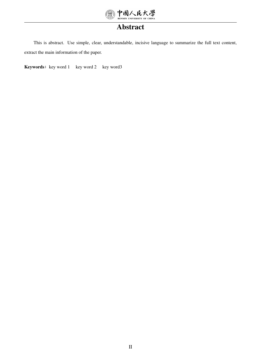

#### Abstract

This is abstract. Use simple, clear, understandable, incisive language to summarize the full text content, extract the main information of the paper.

Keywords: key word 1 key word 2 key word 3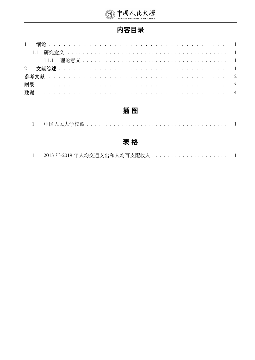

## 内容目录

## 插图

|--|--|

## 表格

|  | 2013年-2019年人均交通支出和人均可支配收入 |  |
|--|---------------------------|--|
|--|---------------------------|--|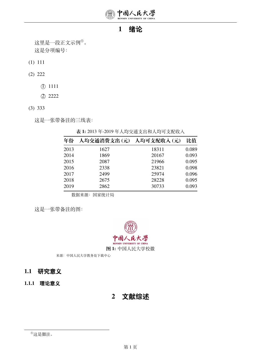

#### 1 **绪论**

<span id="page-4-0"></span>这里是一段正文示例<sup>①</sup>。 这是分项编号:

- (1) 111
- (2) 222
	- *⃝*1 1111
	- *⃝*2 2222
- (3) 333

<span id="page-4-5"></span>这是一张带备注的三线表:

**表** 1: 2013 年-2019 年人均交通支出和人均可支配收入

| 年份   | 人均交通消费支出 (元) | 人均可支配收人 (元) | 比值    |
|------|--------------|-------------|-------|
| 2013 | 1627         | 18311       | 0.089 |
| 2014 | 1869         | 20167       | 0.093 |
| 2015 | 2087         | 21966       | 0.095 |
| 2016 | 2338         | 23821       | 0.098 |
| 2017 | 2499         | 25974       | 0.096 |
| 2018 | 2675         | 28228       | 0.095 |
| 2019 | 2862         | 30733       | 0.093 |

数据来源:国家统计局

<span id="page-4-4"></span>这是一张带备注的图:



来源:中国人民大学教务处下载中心

- <span id="page-4-1"></span>1.1 **研究意义**
- <span id="page-4-3"></span><span id="page-4-2"></span>1.1.1 **理论意义**

#### 2 **文献综述**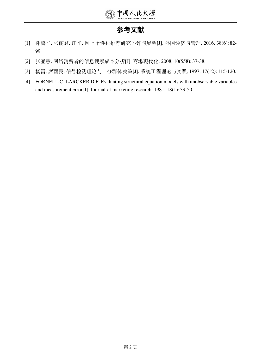

#### **参考文献**

- [1] 孙鲁平, 张丽君, 汪平. 网上个性化推荐研究述评与展望[J]. 外国经济与管理, 2016, 38(6): 82- 99.
- [2] 张亚慧. 网络消费者的信息搜索成本分析[J]. 商場現代化, 2008, 10(558): 37-38.
- [3] 杨雷, 席酉民. 信号检测理论与二分群体决策[J]. 系统工程理论与实践, 1997, 17(12): 115-120.
- [4] FORNELL C, LARCKER D F. Evaluating structural equation models with unobservable variables and measurement error[J]. Journal of marketing research, 1981, 18(1): 39-50.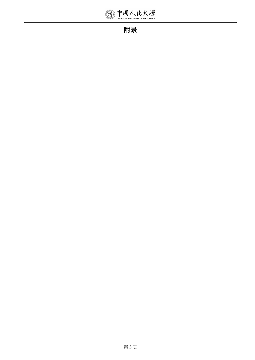

## **附录**